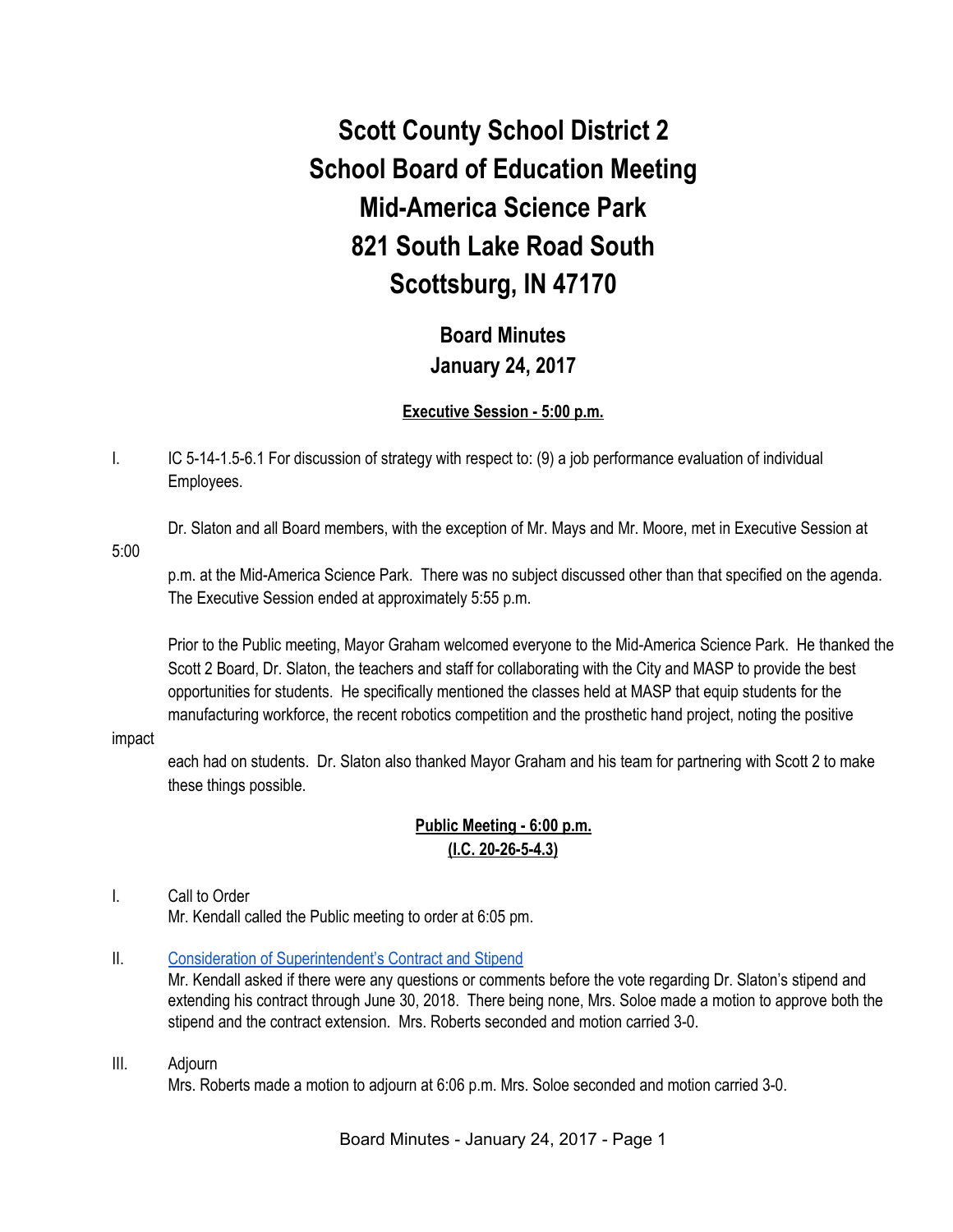# **Scott County School District 2 School Board of Education Meeting Mid-America Science Park 821 South Lake Road South Scottsburg, IN 47170**

## **Board Minutes January 24, 2017**

#### **Executive Session - 5:00 p.m.**

I. IC 5-14-1.5-6.1 For discussion of strategy with respect to: (9) a job performance evaluation of individual Employees.

Dr. Slaton and all Board members, with the exception of Mr. Mays and Mr. Moore, met in Executive Session at

5:00

p.m. at the Mid-America Science Park. There was no subject discussed other than that specified on the agenda. The Executive Session ended at approximately 5:55 p.m.

Prior to the Public meeting, Mayor Graham welcomed everyone to the Mid-America Science Park. He thanked the Scott 2 Board, Dr. Slaton, the teachers and staff for collaborating with the City and MASP to provide the best opportunities for students. He specifically mentioned the classes held at MASP that equip students for the manufacturing workforce, the recent robotics competition and the prosthetic hand project, noting the positive

#### impact

each had on students. Dr. Slaton also thanked Mayor Graham and his team for partnering with Scott 2 to make these things possible.

## **Public Meeting - 6:00 p.m. (I.C. 20-26-5-4.3)**

#### I. Call to Order Mr. Kendall called the Public meeting to order at 6:05 pm.

#### II. [Consideration of Superintendent's Contract and Stipend](https://docs.google.com/document/d/1bQsCLF6nCHKCUC2ajLHwpGEHJ49BPILaGW2CeJGkvgY/edit)

Mr. Kendall asked if there were any questions or comments before the vote regarding Dr. Slaton's stipend and extending his contract through June 30, 2018. There being none, Mrs. Soloe made a motion to approve both the stipend and the contract extension. Mrs. Roberts seconded and motion carried 3-0.

#### III. Adjourn

Mrs. Roberts made a motion to adjourn at 6:06 p.m. Mrs. Soloe seconded and motion carried 3-0.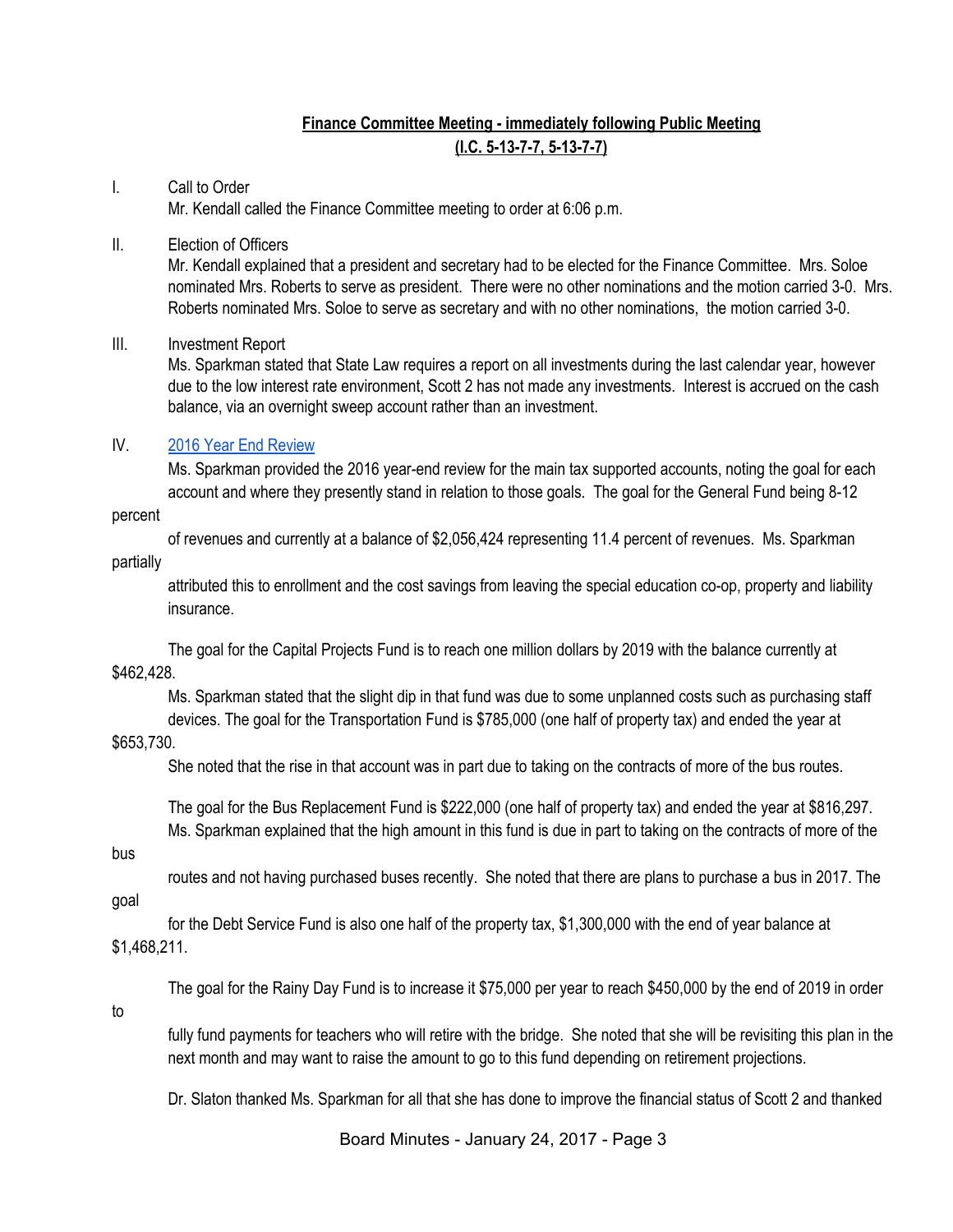## **Finance Committee Meeting - immediately following Public Meeting (I.C. 5-13-7-7, 5-13-7-7)**

## I. Call to Order Mr. Kendall called the Finance Committee meeting to order at 6:06 p.m.

#### II. Election of Officers

Mr. Kendall explained that a president and secretary had to be elected for the Finance Committee. Mrs. Soloe nominated Mrs. Roberts to serve as president. There were no other nominations and the motion carried 3-0. Mrs. Roberts nominated Mrs. Soloe to serve as secretary and with no other nominations, the motion carried 3-0.

#### III. Investment Report

Ms. Sparkman stated that State Law requires a report on all investments during the last calendar year, however due to the low interest rate environment, Scott 2 has not made any investments. Interest is accrued on the cash balance, via an overnight sweep account rather than an investment.

#### IV. [2016 Year End Review](https://drive.google.com/file/d/0BxXvxnGh3EX1ODV1NnRFczQzNE5uNThQRl9LS1c3ajRINlVr/view)

Ms. Sparkman provided the 2016 year-end review for the main tax supported accounts, noting the goal for each account and where they presently stand in relation to those goals. The goal for the General Fund being 8-12

#### percent

of revenues and currently at a balance of \$2,056,424 representing 11.4 percent of revenues. Ms. Sparkman

#### partially

attributed this to enrollment and the cost savings from leaving the special education co-op, property and liability insurance.

The goal for the Capital Projects Fund is to reach one million dollars by 2019 with the balance currently at \$462,428.

Ms. Sparkman stated that the slight dip in that fund was due to some unplanned costs such as purchasing staff devices. The goal for the Transportation Fund is \$785,000 (one half of property tax) and ended the year at

#### \$653,730.

She noted that the rise in that account was in part due to taking on the contracts of more of the bus routes.

The goal for the Bus Replacement Fund is \$222,000 (one half of property tax) and ended the year at \$816,297. Ms. Sparkman explained that the high amount in this fund is due in part to taking on the contracts of more of the

#### bus

routes and not having purchased buses recently. She noted that there are plans to purchase a bus in 2017. The

## goal

for the Debt Service Fund is also one half of the property tax, \$1,300,000 with the end of year balance at \$1,468,211.

The goal for the Rainy Day Fund is to increase it \$75,000 per year to reach \$450,000 by the end of 2019 in order

#### to

fully fund payments for teachers who will retire with the bridge. She noted that she will be revisiting this plan in the next month and may want to raise the amount to go to this fund depending on retirement projections.

Dr. Slaton thanked Ms. Sparkman for all that she has done to improve the financial status of Scott 2 and thanked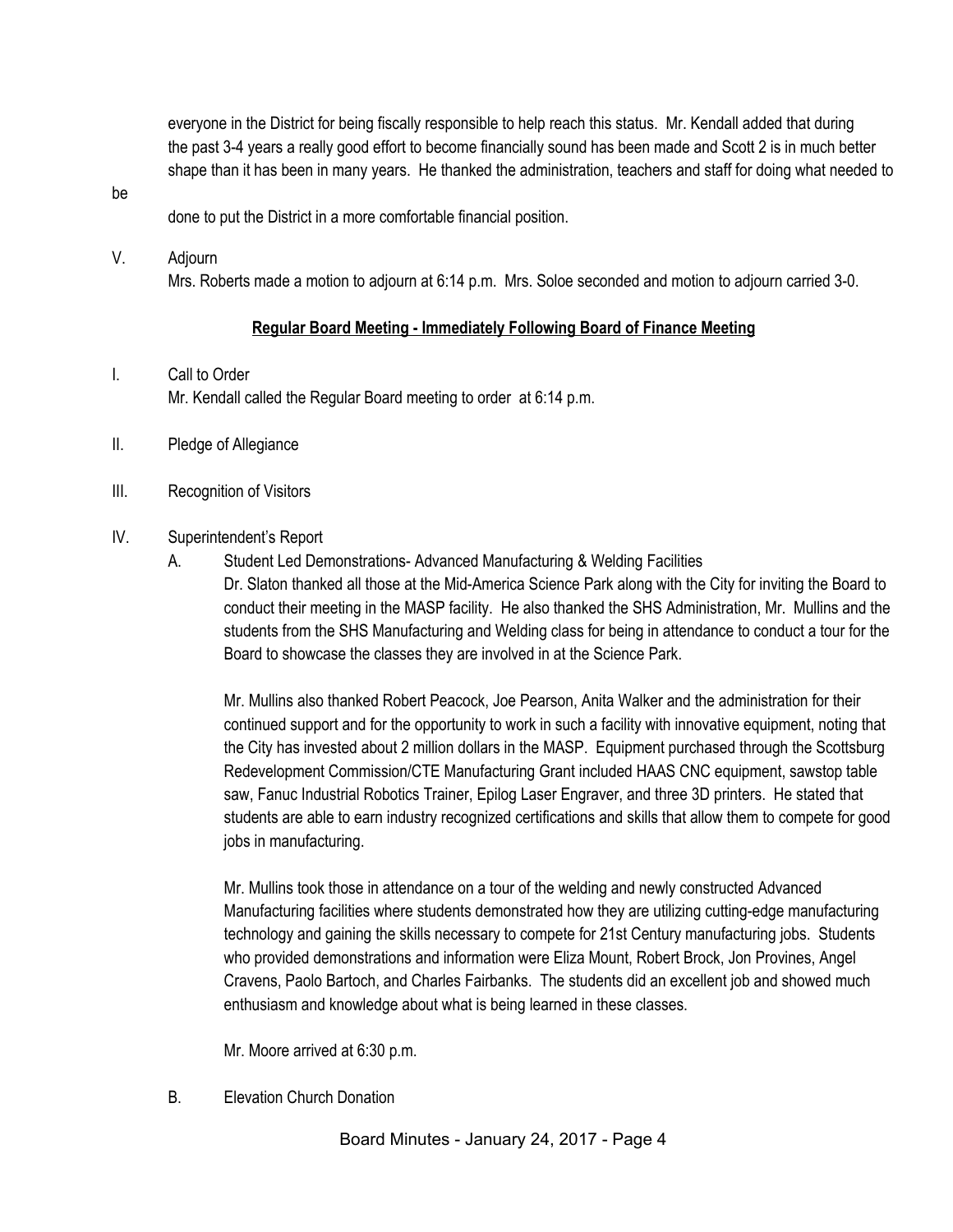everyone in the District for being fiscally responsible to help reach this status. Mr. Kendall added that during the past 3-4 years a really good effort to become financially sound has been made and Scott 2 is in much better shape than it has been in many years. He thanked the administration, teachers and staff for doing what needed to

be

done to put the District in a more comfortable financial position.

#### V. Adjourn

Mrs. Roberts made a motion to adjourn at 6:14 p.m. Mrs. Soloe seconded and motion to adjourn carried 3-0.

#### **Regular Board Meeting - Immediately Following Board of Finance Meeting**

#### I. Call to Order

Mr. Kendall called the Regular Board meeting to order at 6:14 p.m.

- II. Pledge of Allegiance
- III. Recognition of Visitors

#### IV. Superintendent's Report

A. Student Led Demonstrations- Advanced Manufacturing & Welding Facilities

Dr. Slaton thanked all those at the Mid-America Science Park along with the City for inviting the Board to conduct their meeting in the MASP facility. He also thanked the SHS Administration, Mr. Mullins and the students from the SHS Manufacturing and Welding class for being in attendance to conduct a tour for the Board to showcase the classes they are involved in at the Science Park.

Mr. Mullins also thanked Robert Peacock, Joe Pearson, Anita Walker and the administration for their continued support and for the opportunity to work in such a facility with innovative equipment, noting that the City has invested about 2 million dollars in the MASP. Equipment purchased through the Scottsburg Redevelopment Commission/CTE Manufacturing Grant included HAAS CNC equipment, sawstop table saw, Fanuc Industrial Robotics Trainer, Epilog Laser Engraver, and three 3D printers. He stated that students are able to earn industry recognized certifications and skills that allow them to compete for good jobs in manufacturing.

Mr. Mullins took those in attendance on a tour of the welding and newly constructed Advanced Manufacturing facilities where students demonstrated how they are utilizing cutting-edge manufacturing technology and gaining the skills necessary to compete for 21st Century manufacturing jobs. Students who provided demonstrations and information were Eliza Mount, Robert Brock, Jon Provines, Angel Cravens, Paolo Bartoch, and Charles Fairbanks. The students did an excellent job and showed much enthusiasm and knowledge about what is being learned in these classes.

Mr. Moore arrived at 6:30 p.m.

B. Elevation Church Donation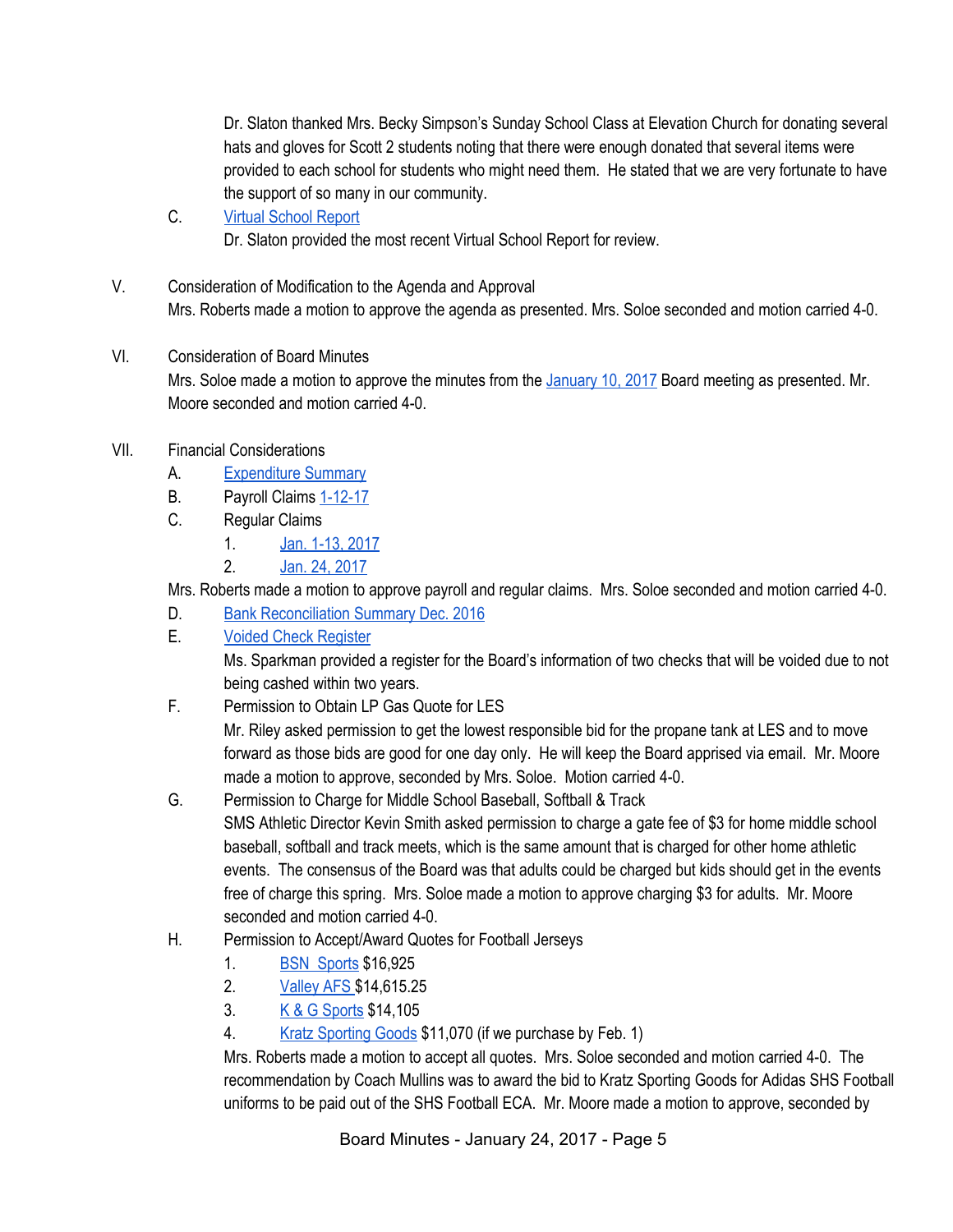Dr. Slaton thanked Mrs. Becky Simpson's Sunday School Class at Elevation Church for donating several hats and gloves for Scott 2 students noting that there were enough donated that several items were provided to each school for students who might need them. He stated that we are very fortunate to have the support of so many in our community.

- C. [Virtual School Report](https://docs.google.com/spreadsheets/d/1fhF6Boj7BfrO6ThFSSFVUCuK99XlB36P6gABF-KMDms/edit#gid=0) Dr. Slaton provided the most recent Virtual School Report for review.
- V. Consideration of Modification to the Agenda and Approval Mrs. Roberts made a motion to approve the agenda as presented. Mrs. Soloe seconded and motion carried 4-0.

## VI. Consideration of Board Minutes

Mrs. Soloe made a motion to approve the minutes from the [January 10, 2017](https://docs.google.com/document/d/1zc00Xq4IBDqJ_Dm_QPGDDxLlioaiqDvTuwkRSj9pscw/edit) Board meeting as presented. Mr. Moore seconded and motion carried 4-0.

- VII. Financial Considerations
	- A. [Expenditure Summary](https://drive.google.com/file/d/0BxXvxnGh3EX1SWdLa2tQRFhKazNza2QzRU9CNk84a2JVUVFF/view)
	- B. Payroll Claims [1-12-17](https://drive.google.com/file/d/0BxXvxnGh3EX1blU2N3Uwbm11T3FyTjh2VE5kX1R5VnZvQUlv/view)
	- C. Regular Claims
		- 1. [Jan. 1-13, 2017](https://drive.google.com/file/d/0BxXvxnGh3EX1MFJoMC1CbTVfa0JjODlLM3lYUHdvc3c1UE00/view)
		- 2. [Jan. 24, 2017](https://drive.google.com/file/d/0BxXvxnGh3EX1bEhZenN2MXF4TjNneVhQZnhCdlRhbzl1T1pN/view)

Mrs. Roberts made a motion to approve payroll and regular claims. Mrs. Soloe seconded and motion carried 4-0.

- D. [Bank Reconciliation Summary Dec. 2016](https://drive.google.com/file/d/0BxXvxnGh3EX1SURjNDA5R3VycVRLajNsLU5CN1ExSHBRNjF3/view)
- E. [Voided Check Register](https://drive.google.com/file/d/0BxXvxnGh3EX1QTBGUHpkUVdNTUVQdmFsbXM1U0Y0cUU1Y0VZ/view)

Ms. Sparkman provided a register for the Board's information of two checks that will be voided due to not being cashed within two years.

F. Permission to Obtain LP Gas Quote for LES

Mr. Riley asked permission to get the lowest responsible bid for the propane tank at LES and to move forward as those bids are good for one day only. He will keep the Board apprised via email. Mr. Moore made a motion to approve, seconded by Mrs. Soloe. Motion carried 4-0.

- G. Permission to Charge for Middle School Baseball, Softball & Track SMS Athletic Director Kevin Smith asked permission to charge a gate fee of \$3 for home middle school baseball, softball and track meets, which is the same amount that is charged for other home athletic events. The consensus of the Board was that adults could be charged but kids should get in the events free of charge this spring. Mrs. Soloe made a motion to approve charging \$3 for adults. Mr. Moore seconded and motion carried 4-0.
- H. Permission to Accept/Award Quotes for Football Jerseys
	- 1. [BSN Sports](https://drive.google.com/file/d/0BxXvxnGh3EX1VUNkRTN0azZHNWJCVU9aaER1V01meWlBZWxZ/view) \$16,925
	- 2. [Valley AFS \\$](https://docs.google.com/document/d/1IDwQojuCz90v8iZJxknfc639dhatIWa9Nw-y3KFDdK0/edit)14,615.25
	- 3. [K & G Sports](https://docs.google.com/document/d/1WWyDqozMo4WTxfdF3EO00xlM0jQsgkziwvLyypxsaKQ/edit) \$14,105
	- 4. [Kratz Sporting Goods](https://drive.google.com/file/d/0BxXvxnGh3EX1UVlLaGc5bkVnT0JjNTFySFN6VUVHQXpiU0dn/view) \$11,070 (if we purchase by Feb. 1)

Mrs. Roberts made a motion to accept all quotes. Mrs. Soloe seconded and motion carried 4-0. The recommendation by Coach Mullins was to award the bid to Kratz Sporting Goods for Adidas SHS Football uniforms to be paid out of the SHS Football ECA. Mr. Moore made a motion to approve, seconded by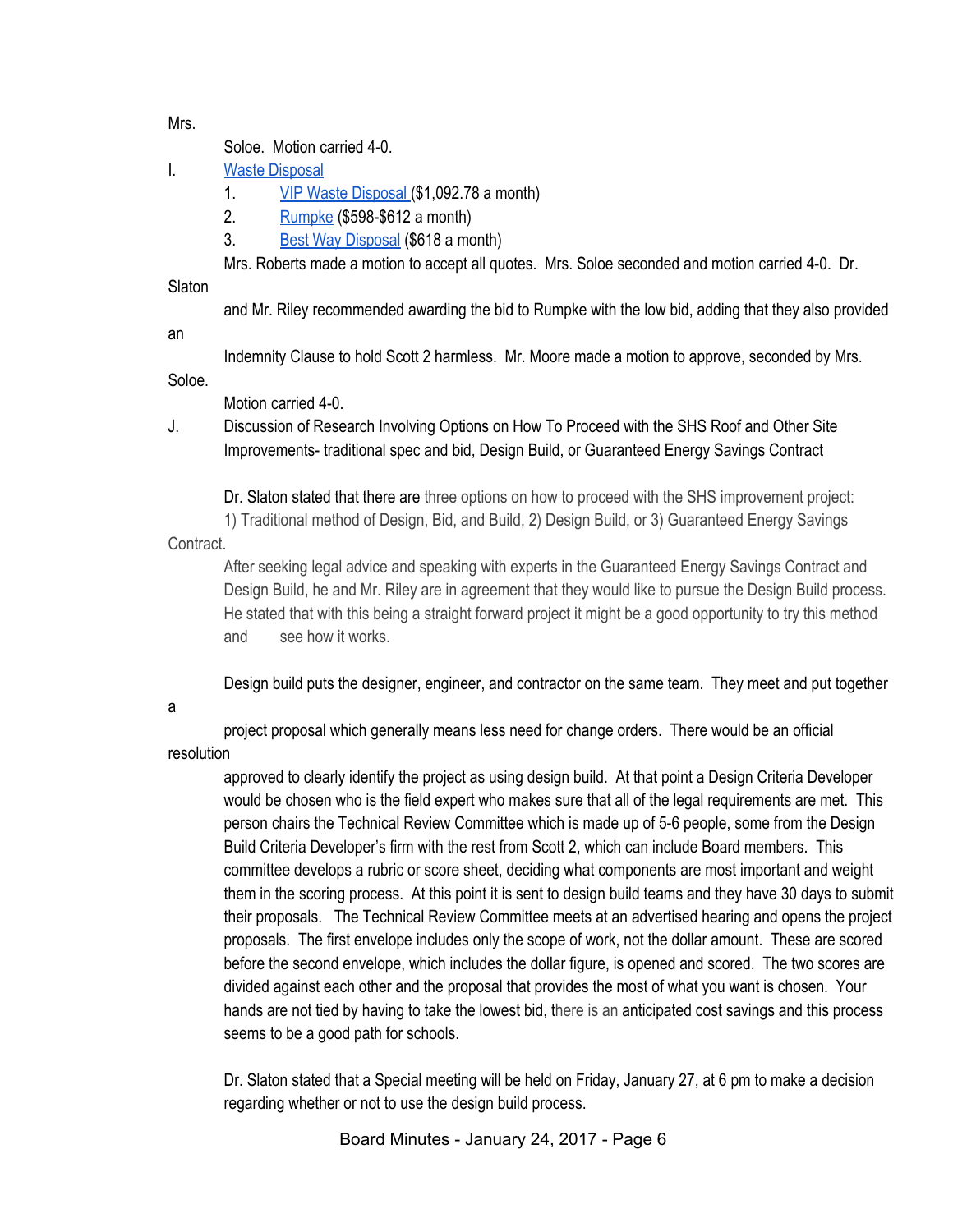Mrs.

Soloe. Motion carried 4-0.

I. [Waste Disposal](https://docs.google.com/document/d/1P1Pkcbi7lL0FNXoRoOHjYgh2XUUSYANJaIVbk_9h8Qs/edit)

1. [VIP Waste Disposal \(](https://drive.google.com/file/d/0BxXvxnGh3EX1MGJqOVdvTVJCSkxVWWpmVGNlUjR3TkFOdS1j/view)\$1,092.78 a month)

- 2. [Rumpke](https://drive.google.com/file/d/0BxXvxnGh3EX1X3M0ekljSE9Fc3o5NjBxU205clJHTm0xd2Nr/view) (\$598-\$612 a month)
- 3. [Best Way Disposal](https://drive.google.com/file/d/0BxXvxnGh3EX1SFl6OGxBZk1IeC1fMnI4OXBxQ240dE51QzRr/view) (\$618 a month)

Mrs. Roberts made a motion to accept all quotes. Mrs. Soloe seconded and motion carried 4-0. Dr.

### **Slaton**

and Mr. Riley recommended awarding the bid to Rumpke with the low bid, adding that they also provided

an

Indemnity Clause to hold Scott 2 harmless. Mr. Moore made a motion to approve, seconded by Mrs.

Soloe.

Motion carried 4-0.

J. Discussion of Research Involving Options on How To Proceed with the SHS Roof and Other Site Improvements- traditional spec and bid, Design Build, or Guaranteed Energy Savings Contract

Dr. Slaton stated that there are three options on how to proceed with the SHS improvement project:

1) Traditional method of Design, Bid, and Build, 2) Design Build, or 3) Guaranteed Energy Savings

Contract.

After seeking legal advice and speaking with experts in the Guaranteed Energy Savings Contract and Design Build, he and Mr. Riley are in agreement that they would like to pursue the Design Build process. He stated that with this being a straight forward project it might be a good opportunity to try this method and see how it works.

Design build puts the designer, engineer, and contractor on the same team. They meet and put together

a

project proposal which generally means less need for change orders. There would be an official resolution

approved to clearly identify the project as using design build. At that point a Design Criteria Developer would be chosen who is the field expert who makes sure that all of the legal requirements are met. This person chairs the Technical Review Committee which is made up of 5-6 people, some from the Design Build Criteria Developer's firm with the rest from Scott 2, which can include Board members. This committee develops a rubric or score sheet, deciding what components are most important and weight them in the scoring process. At this point it is sent to design build teams and they have 30 days to submit their proposals. The Technical Review Committee meets at an advertised hearing and opens the project proposals. The first envelope includes only the scope of work, not the dollar amount. These are scored before the second envelope, which includes the dollar figure, is opened and scored. The two scores are divided against each other and the proposal that provides the most of what you want is chosen. Your hands are not tied by having to take the lowest bid, there is an anticipated cost savings and this process seems to be a good path for schools.

Dr. Slaton stated that a Special meeting will be held on Friday, January 27, at 6 pm to make a decision regarding whether or not to use the design build process.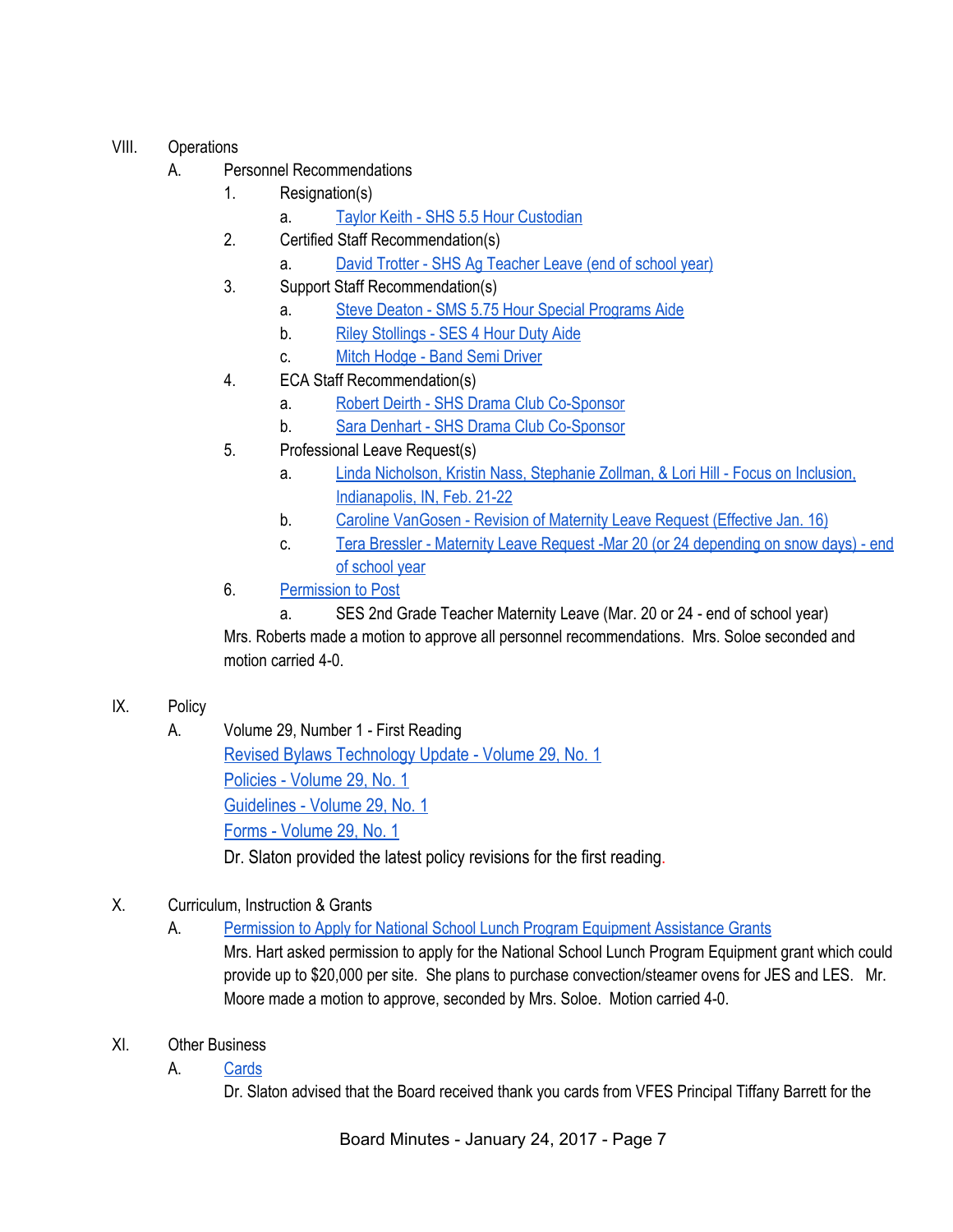## VIII. Operations

- A. Personnel Recommendations
	- 1. Resignation(s)
		- a. [Taylor Keith SHS 5.5 Hour Custodian](https://drive.google.com/file/d/0BxXvxnGh3EX1eU5STE5JZC11VjhqWmo5Z1Z4SDJGcEZPTDA0/view)
	- 2. Certified Staff Recommendation(s)
		- a. [David Trotter SHS Ag Teacher Leave \(end of school year\)](https://drive.google.com/file/d/0BxXvxnGh3EX1X3hLbUwwV3FWQ1hRTGdfcklQSnBLWjVUVWxN/view)
	- 3. Support Staff Recommendation(s)
		- a. [Steve Deaton SMS 5.75 Hour Special Programs Aide](https://drive.google.com/file/d/0BxXvxnGh3EX1RjlKT3c1X0VqbFZZak96YVBHeFAtd2stQWYw/view)
		- b. [Riley Stollings SES 4 Hour Duty Aide](https://drive.google.com/file/d/0BxXvxnGh3EX1QU96RTlCXzFoWDZqM0djTXFJTnA2cWNCWS1F/view)
		- c. [Mitch Hodge Band Semi Driver](https://drive.google.com/file/d/0BxXvxnGh3EX1RGhYVGhlUTBxRTFYZThCakRqbVQ3YlBGZC1Z/view)
	- 4. ECA Staff Recommendation(s)
		- a. [Robert Deirth SHS Drama Club Co-Sponsor](https://drive.google.com/file/d/0BxXvxnGh3EX1VUtDazRMM3F6VEJLd3dWYS1xdmpxWXEyMzdz/view)
		- b. [Sara Denhart SHS Drama Club Co-Sponsor](https://drive.google.com/file/d/0BxXvxnGh3EX1ODJGR1FrZmg4eFdEYm16TC1yRHVxTXBWX3A0/view)
	- 5. Professional Leave Request(s)
		- a. [Linda Nicholson, Kristin Nass, Stephanie Zollman, & Lori Hill Focus on Inclusion,](https://drive.google.com/file/d/0BxXvxnGh3EX1LVd3VmRHSm40cWJsZ2xaQzRvbjExdkM1M0o4/view) [Indianapolis, IN, Feb. 21-22](https://drive.google.com/file/d/0BxXvxnGh3EX1LVd3VmRHSm40cWJsZ2xaQzRvbjExdkM1M0o4/view)
		- b. [Caroline VanGosen Revision of Maternity Leave Request \(Effective Jan. 16\)](https://drive.google.com/file/d/0BxXvxnGh3EX1MGhOQWJOTVE2bGxzTFFJVjlwZFpqV0VvTzlR/view)
		- c. [Tera Bressler Maternity Leave Request -Mar 20 \(or 24 depending on snow days\) end](https://drive.google.com/file/d/0BxXvxnGh3EX1bVVGNV80a2VjUVMtcHVpcTVmVTNMazEwMG93/view) [of school year](https://drive.google.com/file/d/0BxXvxnGh3EX1bVVGNV80a2VjUVMtcHVpcTVmVTNMazEwMG93/view)
	- 6. [Permission to Post](https://docs.google.com/document/d/1ka9oyvOlfyBR0EmSWwgsIlTy0vHMwArI7UsbppjMdTI/edit)
		- a. SES 2nd Grade Teacher Maternity Leave (Mar. 20 or 24 end of school year)

Mrs. Roberts made a motion to approve all personnel recommendations. Mrs. Soloe seconded and motion carried 4-0.

- IX. Policy
	- A. Volume 29, Number 1 First Reading [Revised Bylaws Technology Update - Volume 29, No. 1](https://drive.google.com/file/d/0BxXvxnGh3EX1MjgyVl9leWw5QlVJQ2NMMEhrUFpJZlQ3MHV3/view) [Policies - Volume 29, No. 1](https://drive.google.com/file/d/0BxXvxnGh3EX1WlR3QXFwQ2FVR3MxbzZ2NGp2MU13N1JoVDY0/view) [Guidelines - Volume 29, No. 1](https://drive.google.com/file/d/0BxXvxnGh3EX1M3F2eWVVb3dKR2hDanVTQ0ZTWlhlejJNTkdF/view) [Forms - Volume 29, No. 1](https://drive.google.com/file/d/0BxXvxnGh3EX1ZUotOEZtVF9td2hPbkU2QU1pTzc3bmxUZURv/view) Dr. Slaton provided the latest policy revisions for the first reading.
- X. Curriculum, Instruction & Grants
	- A. [Permission to Apply for National School Lunch Program Equipment Assistance Grants](https://drive.google.com/file/d/0BxXvxnGh3EX1eld2MkdIbF9MSklCV0dCdDZKRTBBNTNKMWhz/view)

Mrs. Hart asked permission to apply for the National School Lunch Program Equipment grant which could provide up to \$20,000 per site. She plans to purchase convection/steamer ovens for JES and LES. Mr. Moore made a motion to approve, seconded by Mrs. Soloe. Motion carried 4-0.

- XI. Other Business
	- A. [Cards](https://drive.google.com/file/d/0BxXvxnGh3EX1WE9ualRLVERWeHIzeWFXcWRKZ2Naa1dpX25N/view)

Dr. Slaton advised that the Board received thank you cards from VFES Principal Tiffany Barrett for the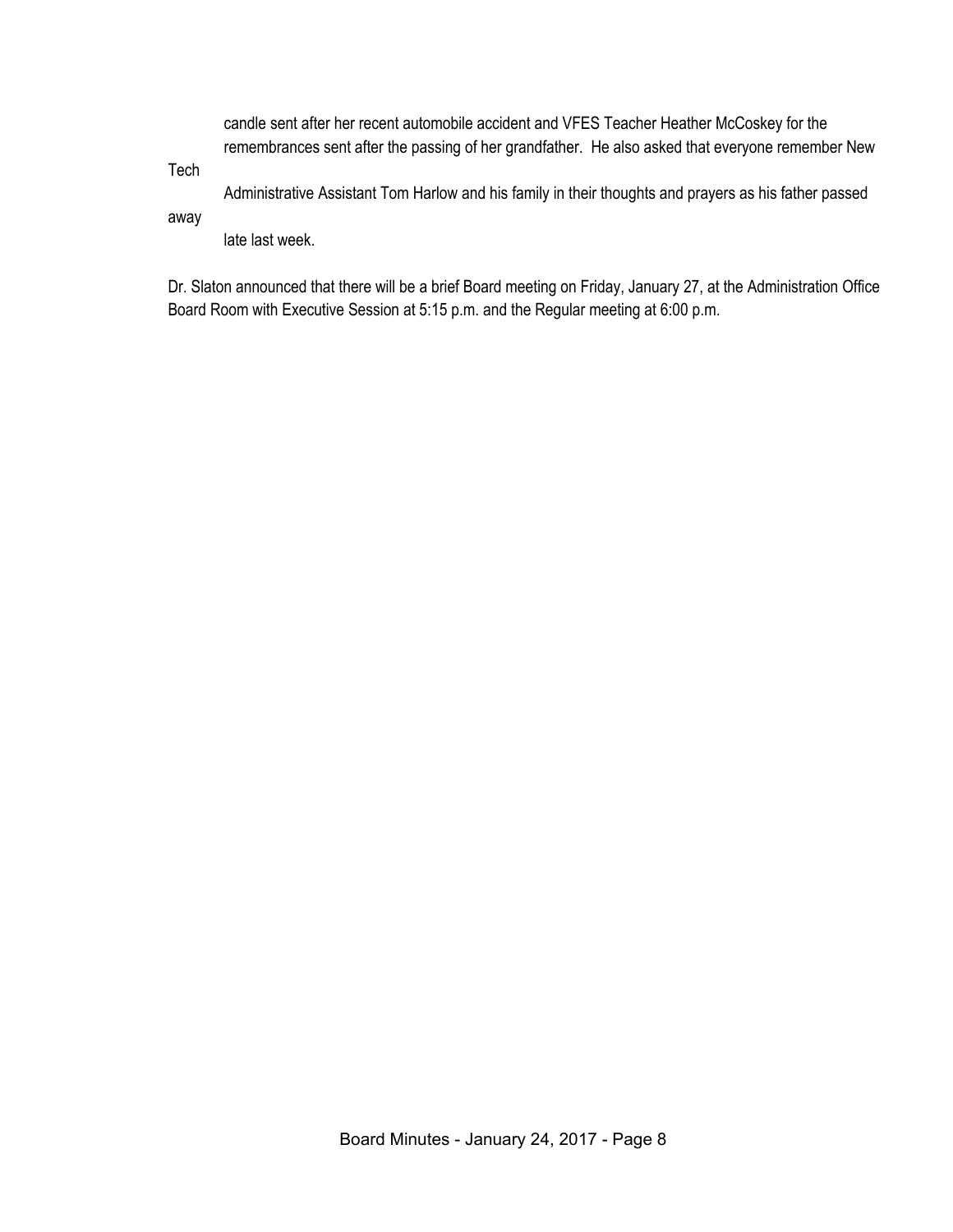candle sent after her recent automobile accident and VFES Teacher Heather McCoskey for the remembrances sent after the passing of her grandfather. He also asked that everyone remember New

Tech

Administrative Assistant Tom Harlow and his family in their thoughts and prayers as his father passed

away

late last week.

Dr. Slaton announced that there will be a brief Board meeting on Friday, January 27, at the Administration Office Board Room with Executive Session at 5:15 p.m. and the Regular meeting at 6:00 p.m.